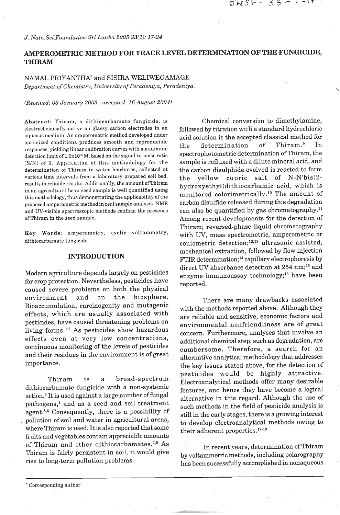# **AMPEROMETRIC METHOD FOR TRACE LEVEL DETERMINATION OF THE FUNGICIDE, THIRAM**

# NAMAL PRIYANTHA\* and SISIRA WELIWEGAMAGE *Department of Chemistry, University of Peradeniya, Peradeniya.*

#### *(Received: 03 January 2003* ; *accepted:* 16 *August 2004)*

Abstract: Thiram, a dithiocarbamate fungicide, is electrochemically active on glassy carbon electrodes in an aqueous medium. An amperometric method developed under optimized conditions produces smooth and reproducible responses, yielding linear calibration curves with a minimum detection limit of  $1.0x10^{.8}$  M, based on the signal-to-noise ratio (SIN) of 3. Application of this methodology for the determination of Thiram in water leachates, collected at various time intervals from a laboratory prepared soil bed, results in reliable results. Additionally, the amount of Thiram in an agricultural bean seed sample is well quantified using this methodology, thus demonstrating the applicability of the proposed amperometric method in real sample analysis. NMR and UV-visible spectroscopic methods confirm the presence of Thiram in the seed sample.

**Key** Words: amperometry, cyclic voltammetry, dithiocarbamate fungicide.

### **INTRODUCTION**

Modern agriculture depends largely on pesticides for crop protection. Nevertheless, pesticides have caused severe problems on both the physical environment and on the biosphere. Bioaccumulation, carcinogenity and mutagenic effects, which are usually associated with pesticides, have caused threatening problems on living forms.<sup>1,2</sup> As pesticides show hazardous effects even at very low concentrations, continuous monitoring of the levels of pesticides and their residues in the environment is of great importance.

Thiram is a broad-spectrum dithiocarbamate fungicide with a non-systemic action.<sup>3</sup> It is used against a large number of fungal pathogens,<sup>4</sup> and as a seed and soil treatment agent.5s6 Consequently, there is a possibility of . pollution of soil and water in agricultural areas, where Thiram is used. It is also reported that some fruits and vegetables contain appreciable amounts of Thiram and other dithiocarbamates.<sup>7,8</sup> As Thiram is fairly persistent in soil, it would give rise to long-term pollution problems.

Chemical conversion to dimethylamine, followed by titration with a standard hydrochloric acid solution is the accepted classical method for<br>the determination of Thiram.<sup>9</sup> In the determination spectrophotometric determination of Thiram, the sample is refluxed with a dilute mineral acid, and the carbon disulphide evolved is reacted to form the yellow cupric salt of  $N-N'bis(2-)$ **hydroxyethy1)dithiocarbamic** acid, which is monitored colorimetrically.<sup>10</sup> The amount of carbon disulfide released during this degradation can also be quantified by gas chromatography." Among recent developments for the detection of Thiram; reversed-phase liquid chromatography with UV, mass spectrometric, amperometric or coulometric detection;<sup>12,13</sup> ultrasonic assisted, mechanical extraction, followed by flow injection FTIR determination;<sup>14</sup> capillary electrophoresis by direct UV absorbance detection at 254 nm;<sup>15</sup> and enzyme immunoassay technology;<sup>16</sup> have been reported.

TNSF - 33 – 1

There are many drawbacks associated with the methods reported above. Although they are reliable and sensitive, economic factors and environmental nonfriendliness are of great concern. Furthermore, analyses that involve an additional chemical step, such as degradation, are cumbersome. Therefore, a search for an alternative analytical methodology that addresses the key issues stated above, for the detection of pesticides would be highly attractive. Electroanalytical methods offer many desirable features, and hence they have become a logical alternative in this regard. Although the use of such methods in the field of pesticide analysis is still in the early stages, there is a growing interest to develop electroanalytical methods owing to their adherent properties.<sup>17-19</sup>

In recent years, determination of Thiram by voltammetric methods, including polarography has been successfully accomplished in nonaqueous

<sup>&#</sup>x27; Corresponding author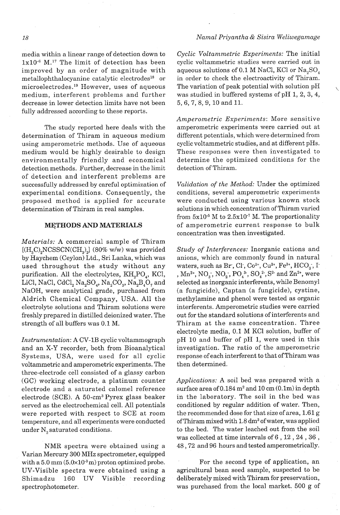### *Namal Priyantha* & *Sisira Weliwegamage*

media within a linear range of detection down to  $1x10^{-6}$  M.<sup>17</sup> The limit of detection has been improved by an order of magnitude with metallophthalocyanine catalytic electrodes<sup>18</sup> or microelectrodes.<sup>19</sup> However, uses of aqueous medium, interferent problems and further decrease in lower detection limits have not been fully addressed according to these reports.

The study reported here deals with the determination of Thiram in aqueous medium using amperometric methods. Use of aqueous medium would be highly desirable to design environmentally friendly and economical detection methods. Further, decrease in the limit of detection and interferent problems are successfully addressed by careful optimization of experimental conditions. Consequently, the proposed method is applied for accurate determination of Thiram in real samples.

# **METHODS AND MATERIALS**

*Materials:* A commercial sample of Thiram  $[(H<sub>3</sub>C)<sub>2</sub>NCSSCN(CH<sub>3</sub>)<sub>2</sub>]$  (80% w/w) was provided by Haychem (Ceylon) Ltd., Sri Lanka, which was used throughout the study without any purification. All the electrolytes,  $KH_{2}PO_{4}$ , KCl, LiCl, NaCl, CdCl<sub>2</sub> Na<sub>2</sub>SO<sub>4</sub>, Na<sub>2</sub>CO<sub>3</sub>, Na<sub>2</sub>B<sub>4</sub>O<sub>7</sub> and NaOH, were analytical grade, purchased from Aldrich Chemical Company, USA. All the electrolyte solutions and Thiram solutions were freshly prepared in distilled deionized water. The strength of all buffers was 0.1 M.

*Instrumentation:* A CV-1B cyclic voltammograph and an X-Y recorder, both from Bioanalytical Systems, USA, were used for all cyclic voltammetric and amperometric experiments. The three-electrode cell consisted of a glassy carbon (GC) working electrode, a platinum counter electrode and a saturated calomel reference electrode (SCE). A 50-cm3 Pyrex glass beaker served as the electrochemical cell. All potentials were reported with respect to SCE at room temperature, and all experiments were conducted under N, saturated conditions.

NMR spectra were obtained using a Varian Mercury 300 MHz spectrometer, equipped with a  $5.0~\text{mm}$  ( $5.0\times10^{-3}$ m) proton optimized probe. UV-Visible spectra were obtained using a Shimadzu 160 UV Visible recording spectrophotometer.

*Cyclic Voltammetric Experiments:* The initial cyclic voltammetric studies were carried out in aqueous solutions of 0.1 M NaC1, KC1 or Na,SO, in order to check the electroactivity of Thiram. The variation of peak potential with solution pH was studied in buffered systems of pH 1, 2, 3, 4, 5, 6, 7, 8, 9, 10 and 11.

*Amperometric Experiments:* More sensitive amperometric experiments were carried out at different potentials, which were determined from cyclic voltammetric studies, and at different pHs. These responses were then investigated to determine the optimized conditions for the detection of Thiram.

*Validation of the Method:* Under the optimized conditions, several amperometric experiments were conducted using various known stock solutions in which concentration of Thiram varied from  $5x10^{-5}$  M to  $2.5x10^{-7}$  M. The proportionality of amperometric current response to bulk concentration was then investigated.

*Study of Interferences:* Inorganic cations and anions, which are commonly found in natural waters, such as Br, Cl,  $Co^{2+}$ ,  $Cu^{2+}$ ,  $Fe^{3+}$ ,  $HCO_3$ , I-,  $Mn^{2+}$ ,  $NO_3$ ,  $NO_2$ ,  $PO_4^{3+}$ ,  $SO_4^{2+}$ ,  $S^2$  and  $Zn^{2+}$ , were selected as inorganic interferents, while Benomyl (a fungicide), Captan (a fungicide), cystine, methylamine and phenol were tested as organic interferents. Amperometric studies were carried out for the standard solutions of interferents and Thiram at the same concentration. Three electrolyte media, 0.1 M KC1 solution, buffer of pH 10 and buffer of pH 1, were used in this investigation. The ratio of the amperometric response of each interferent to that of Thiram was then determined.

*Applications:* A soil bed was prepared with a surface area of  $0.184$  m<sup>2</sup> and  $10$  cm  $(0.1m)$  in depth in the laboratory. The soil in the bed was conditioned by regular addition of water. Then, the recommended dose for that size of area, 1.61 g of Thiram mixed with  $1.8 \text{ dm}^3$  of water, was applied to the bed. The water leached out from the soil was collected at time intervals of 6 , 12 , 24 , 36 , 48,72 and 96 hours and tested amperometrically.

For the second type of application, an agricultural bean seed sample, suspected to be deliberately mixed with Thiram for preservation, was purchased from the local market. 500 g of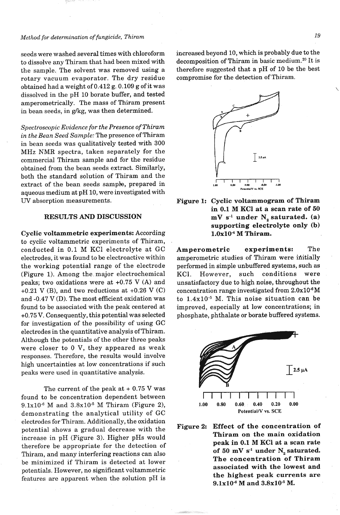#### *Method for determination of fungicide, Thiram*

seeds were washed several times with chloroform to dissolve any Thiram that had been mixed with the sample. The solvent was removed using a rotary vacuum evaporator. The dry residue obtained had a weight of 0.412 g. 0.109 g of it was dissolved in the pH 10 borate buffer, and tested amperometrically. The mass of Thiram present in bean seeds, in  $g/kg$ , was then determined.

*Spectroscopic Evidence for the Presence of* **Thiram**  *in the Bean Seed Sample:* The presence of Thiram in bean seeds was qualitatively tested with 300 MHz NMR spectra, taken separately for the commercial Thiram sample and for the residue obtained from the bean seeds extract. Similarly, both the standard solution of Thiram and the extract of the bean seeds sample, prepared in aqueous medium at pH 10, were investigated with **UV** absorption measurements.

#### **RESULTS AND DISCUSSION**

**Cyclic voltammetric experiments:** According to cyclic voltammetric experiments of Thiram, conducted in 0.1 M KC1 electrolyte at GC electrodes, it was found to be electroactive within the working potential range of the electrode (Figure 1). Among the major electrochemical peaks; two oxidations were at +0.75 V (A) and +0.21 V (B), and two reductions at +0.26 V **(C)**  and -0.47 V (D). The most efficient oxidation was found to be associated with the peak centered at +0.75 V. Consequently, this potential was selected for investigation of the possibility of using GC electrodes in the quantitative analysis of Thiram. Although the potentials of the other three peaks were closer to 0 V, they appeared as weak responses. Therefore, the results would involve high uncertainties at low concentrations if such peaks were used in quantitative analysis.

The current of the peak at  $+0.75$  V was found to be concentration dependent between **9.1~10-~** M and 3.8~10.~ M Thiram (Figure **2),**  demonstrating the analytical utility of GC electrodes for Thiram. Additionally, the oxidation potential shows a gradual decrease with the increase in pH (Figure **3).** Higher pHs would therefore be appropriate for the detection of Thiram, and many interfering reactions can also be minimized if Thiram is detected at lower potentials. However, no significant voltammetric features are apparent when the solution pH is

increased beyond 10, which is probably due to the decomposition of Thiram in basic medium.20 It is therefore suggested that a pH of 10 be the best compromise for the detection of Thiram.



**Figure 1: Cyclic voltammogram of Thiram in 0.1 M KC1 at a scan rate of 50 mV s-I under N, saturated. (a) supporting electrolyte only (b)**  1.0x10<sup>-4</sup> M Thiram.

**Amperometric experiments:** The amperometric studies of Thiram were initially performed in simple unbuffered systems, such as KCl. However, such conditions were unsatisfactory due to high noise, throughout the concentration range investigated from  $2.0x10^{-6}M$ to  $1.4x10^{-5}$  M. This noise situation can be improved, especially at low concentrations; in phosphate, phthalate or borate buffered systems.



**Figure 2: Effect of the concentration of Thiram on the main oxidation peak in 0.1 M KC1 at a scan rate**  of 50  $mV s<sup>-1</sup>$  under  $N<sub>2</sub>$  saturated. **The concentration of Thiram associated with the lowest and the highest peak currents are**  9.1x10<sup>-6</sup> M and 3.8x10<sup>-5</sup> M.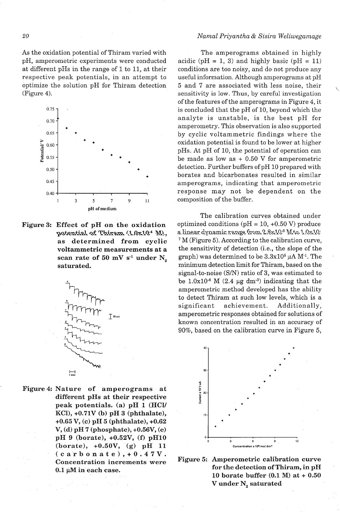As the oxidation potential of Thiram varied with The amperograms obtained in highly pH, amperometric experiments were conducted acidic ( $pH = 1$ , 3) and highly basic ( $pH = 11$ ) at different pHs in the range of 1 to 11, at their conditions are too noisy, and do not produce any respective peak potentials, in an attempt to useful information. Although amperograms at pH optimize the solution pH for Thiram detection 5 and 7 are associated with less noise, their optimize the solution pH for Thiram detection (Figure 4). sensitivity is low. Thus, by careful investigation



Figure 3: Effect of pH on the oxidation <sup>1</sup> <sup>3</sup> <sup>5</sup> <sup>7</sup> <sup>9</sup> <sup>11</sup><br>
<sup>pH of medium<br> **Effect of pH on the oxidation**<br> **potential of Thiram.** (1.0x10<sup>4</sup> M),<br>
as determined from cyclic</sup> voltammetric measurements at a scan rate of 50 mV s<sup>-1</sup> under  $N_{\circ}$ saturated.



Figure 4: Nature of amperograms at different pHs at their respective peak potentials. (a) pH 1 (HCY KCl), +0.71V (b) pH 3 (phthalate), +0.65 V, (c) pH 5 (phthalate),  $+0.62$  $V, (d)$  pH 7 (phosphate), +0.56 $V, (e)$ pH 9 (borate), +0.52V, (f) pH10 (borate), +0.50V, (g) pH 11  $(ca$ rbonate), + 0.47V. Concentration increments were  $0.1 \mu M$  in each case.

#### *Narnal Priyantha* & *Sisira Weliwegamage*

conditions are too noisy, and do not produce any<br>useful information. Although amperograms at pH of the features of the amperograms in Figure 4, it is concluded that the pH of 10, beyond which the analyte is unstable, is the best pH for amperometry. This observation is also supported by cyclic voltammetric findings where the oxidation potential is found to be lower at higher pHs. At pH of 10, the potential of operation can be made as low as  $+0.50$  V for amperometric detection. Further buffers of pH 10 prepared with borates and bicarbonates resulted in similar amperograms, indicating that amperometric response may not be dependent on the composition of the buffer.

The calibration curves obtained under optimized conditions ( $pH = 10, +0.50$  V) produce a linear dynamic range from  $2.8 \times 10^8$  Mto  $1.0 \times 10^5$ M (Figure 5). According to the calibration curve, the sensitivity of detection (i.e., the slope of the graph) was determined to be  $3.3x10^5 \mu A M^{-1}$ . The minimum detection limit for Thiram, based on the signal-to-noise (S/N) ratio of **3,** was estimated to be  $1.0x10^{-8}$  M (2.4 µg dm<sup>-3</sup>) indicating that the amperometric method developed has the ability to detect Thiram at such low levels, which is a significant achievement. Additionally, amperometric responses obtained for solutions of known concentration resulted in an accuracy of 90%, based on the calibration curve in Figure 5,



Figure 5: Amperometric calibration curve for the detection of Thiram, in pH 10 borate buffer (0.1 **M)** at + 0.50 V under  $N_{2}$  saturated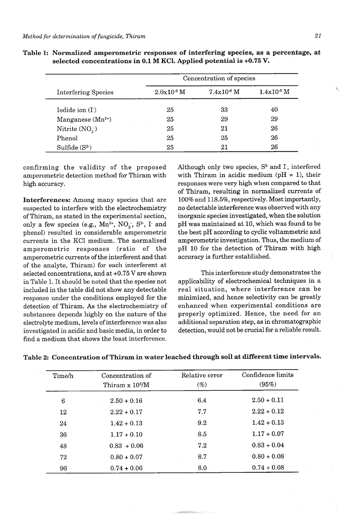|                            | Concentration of species |              |                 |  |
|----------------------------|--------------------------|--------------|-----------------|--|
| <b>Interfering Species</b> | $2.0x10^{-6}$ M          | $7.4x10-6 M$ | $1.4x10^{-5}$ M |  |
|                            |                          | $\sim -1$    |                 |  |
| Iodide ion $(I.)$          | 25                       | 33           | 40              |  |
| Manganese $(Mn^{2+})$      | 25                       | 29           | 29              |  |
| Nitrite $(NO2)$            | 25                       | 21           | 26              |  |
| Phenol                     | 25                       | 25           | 26              |  |
| Sulfide $(S^2)$            | 25                       | 21           | 26              |  |

**Table 1: Normalized amperometric responses of interfering species, as a percentage, at selected concentrations in 0.1 M KCl. Applied potential is +0.75 V.** 

confirming the validity of the proposed amperometric detection method for Thiram with high accuracy.

**Interferences:** Among many species that are suspected to interfere with the electrochemistry of Thiram, as stated in the experimental section, only a few species (e.g.,  $Mn^{2+}$ , NO<sub>2</sub>, S<sup>2</sup>, I<sup>-</sup> and phenol) resulted in considerable amperometric currents in the KC1 medium. The normalized amperometric responses (ratio of the amperometric currents of the interferent and that of the analyte, Thiram) for each interferent at selected concentrations, and at +0.75 V are shown in Table 1. It should be noted that the species not included in the table did not show any detectable response under the conditions employed for the detection of Thiram. As the electrochemistry of substances depends highly on the nature of the electrolyte medium, levels of interference was also investigated in acidic and basic media, in order to find a medium that shows the least interference. Although only two species,  $S<sup>2</sup>$  and I, interfered with Thiram in acidic medium ( $pH = 1$ ), their responses were very high when compared to that of Thiram, resulting in normalized currents of 100% and 118.5%, respectively. Most importantly, no detectable interference was observed with any inorganic species investigated, when the solution pH was maintained at 10, which was found to be the best pH according to cyclic voltammetric and amperometric investigation. Thus, the medium of pH 10 for the detection of Thiram with high accuracy is further established.

This interference study demonstrates the applicability of electrochemical techniques in a real situation, where interference can be minimized, and hence selectivity can be greatly enhanced when experimental conditions are properly optimized. Hence, the need for an additional separation step, as in chromatographic detection, would not be crucial for a reliable result.

| Time/h | Concentration of<br>Thiram x 10 <sup>6</sup> /M | Relative error<br>$(\%)$ | Confidence limits<br>(95%) |
|--------|-------------------------------------------------|--------------------------|----------------------------|
| 6      | $2.50 + 0.16$                                   | 6.4                      | $2.50 + 0.11$              |
| 12     | $2.22 + 0.17$                                   | 7.7                      | $2.22 + 0.12$              |
| 24     | $1.42 + 0.13$                                   | 9.2                      | $1.42 + 0.13$              |
| 36     | $1.17 + 0.10$                                   | 8.5                      | $1.17 + 0.07$              |
| 48     | $0.83 + 0.06$                                   | 7.2                      | $0.83 + 0.04$              |
| 72     | $0.80 + 0.07$                                   | 8.7                      | $0.80 + 0.08$              |
| 96     | $0.74 + 0.06$                                   | 8.0                      | $0.74 + 0.08$              |

|  |  | Table 2: Concentration of Thiram in water leached through soil at different time intervals. |  |
|--|--|---------------------------------------------------------------------------------------------|--|
|  |  |                                                                                             |  |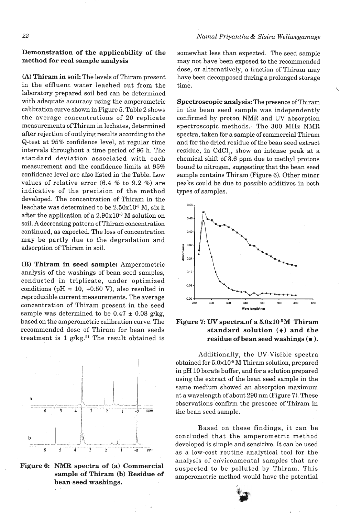# **Demonstration of the applicability of the method for real sample analysis**

**(A) Thiram in soil:** The levels of Thiram present in the effluent water leached out from the laboratory prepared soil bed can be determined with adequate accuracy using the amperometric calibration curve shown in Figure *5.* Table 2 shows the average concentrations of 20 replicate measurements of Thiram in lechates, determined after rejection of outlying results according to the Q-test at 95% confidence level, at regular time intervals throughout a time period of 96 h. The standard deviation associated with each measurement and the confidence limits at 95% confidence level are also listed in the Table. Low values of relative error (6.4 % to 9.2 %) are indicative of the precision of the method developed. The concentration of Thiram in the leachate was determined to be  $2.50x10^{-3}$  M, six h after the application of a  $2.90x10^{-3}$  M solution on soil. A decreasing pattern of Thiram concentration continued, as expected. The loss of concentration may be partly due to the degradation and adsorption of Thiram in soil.

**(B) Thiram in seed sample:** Amperometric analysis of the washings of bean seed samples, conducted in triplicate, under optimized conditions  $(pH = 10, +0.50 V)$ , also resulted in reproducible current measurements. The average concentration of Thiram present in the seed sample was determined to be  $0.47 \pm 0.08$  g/kg, based on the amperometric calibration curve. The recommended dose of Thiram for bean seeds treatment is 1 g/kg. $21$  The result obtained is



**Figure 6: NMR spectra of (a) Commercial sample of Thiram (b) Residue of bean seed washings.** 

somewhat less than expected. The seed sample may not have been exposed to the recommended dose, or alternatively, a fraction of Thiram may have been decomposed during a prolonged storage time.

**Spectroscopic analysis:** The presence of Thiram in the bean seed sample was independently confirmed by proton NMR and UV absorption spectroscopic methods. The 300 MHz NMR spectra, taken for a sample of commercial Thiram and for the dried residue of the bean seed extract residue, in  $CdCl<sub>s</sub>$ , show an intense peak at a chemical shift 6f 3.6 ppm due to methyl protons bound to nitrogen, suggesting that the bean seed sample contains Thiram (Figure 6). Other minor peaks could be due to possible additives in both types of samples.





Additionally, the UV-Visible spectra obtained for  $5.0\times10^{-5}$  M Thiram solution, prepared in pH 10 borate buffer, and for a solution prepared using the extract of the bean seed sample in the same medium showed an absorption maximum at a wavelength of about 290 nm (Figure 7). These observations confirm the presence of Thiram in the bean seed sample.

Based on these findings, it can be concluded that the amperometric method developed is simple and sensitive. It can be used as a low-cost routine analytical tool for the analysis of environmental samples that are suspected to be polluted by Thiram. This amperometric method would have the potential

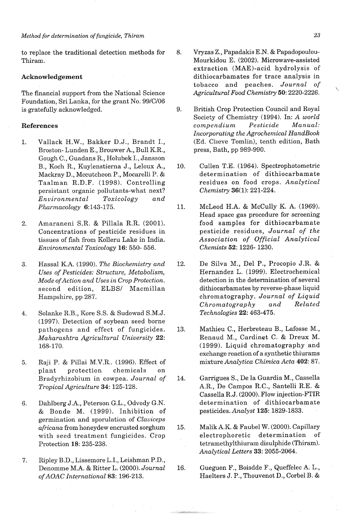to replace the traditional detection methods for Thiram.

#### **Acknowledgement**

The financial support from the National Science Foundation, Sri Lanka, for the grant No. 99/C/06 is gratefully acknowledged.

#### **References**

- 1. Vallack H.W., Bakker D.J., Brandt I., Broston- Lunden E., Brouwer A., Bull K.R., Gough C., Guadans R., Holubek I., Jansson B., Koch R., Kuylenstierna J., Leloux A., Mackray D., Mccutcheon P., Mocarelli P. & Taalman R.D.F. (1998). Controlling persistant organic pollutants-what next? *Environmental Toxicology and Pharmacology* 6:143-175.
- 2. Amaraneni S.R. & Pillala R.R. (2001). Concentrations of pesticide residues in tissues of fish from Kolleru Lake in India. *Environmental Toxicology* 16: 550- 556.
- 3. Hassal K.A. (1990). *The Biochemistry and Uses of Pesticides: Structure, Metabolism, Mode ofAction and Uses in Crop Protection.*  second edition, ELBS/ Macmillan Hampshire, pp 287.
- 4. Solanke R.B., Kore S.S. & Sudewad S.M.J. (1997). Detection of soybean seed borne pathogens and effect of fungicides. *Maharashtra Agricultural University* 22: 168-170.
- 5. Raji P. & Pillai M.V.R.. (1996). Effect of plant protection chemicals on Bradyrhizobium in cowpea. *Journal of Tropical Agriculture 34:* 125-128.
- **6.** Dahlberg J.A., Peterson G.L., Odvody G.N. & Bonde M. (1999). Inhibition of germination and sporulation of *Claviceps africana* from honeydew encrusted sorghum with seed treatment fungicides. Crop Protection 18: 235-238.
- 7. Ripley B.D., Lissemore L.I., Leishman P.D., Denomme M.A. & Ritter L. (2000). *Journal ofAOAC International* 83: 196-213.
- 8. Vryzas Z., Papadakis E.N. & Papadopoulou-Mourkidou E. (2002). Microwave-assisted extraction (MAE)-acid hydrolysis of dithiocarbamates for trace analysis in tobacco and peaches. *Journal of Agricultural Food Chemistry* 50: 2220-2226. \
- 9. British Crop Protection Council and Royal Society of Chemistry (1994). In: *A world compendium Pesticide Manual: Incorporating the Agrochemical HandBook*  (Ed. Clieve Tomlin), tenth edition, Bath press, Bath, pp 989-990.
- Cullen T.E. (1964). Spectrophotometric 10. determination of dithiocarbamate residues on food crops. *Analytical Chemistry* 36(1): 221-224.
- 11. McLeod H.A. & McCully K. **A.** (1969). Head space gas procedure for screening food samples for dithiocarbamate pesticide residues, *Journal of the Association of Official Analytical Chemists* 52: 1226- 1230.
- 12. De Silva M., Del P., Procopio J.R. & Hernandez L. (1999). Electrochemical detection in the determination of several dithiocarbamates by reverse-phase liquid chromatography. *Journal of Liquid Chromatography and Related Technologies* 22: 463-475.
- Mathieu C., Herbreteau B., Lafosse M., 13. Renaud M., Cardinet C. & Dreux M. (1999). Liquid chromatography and exchange reaction of a synthetic thiurams mixture *Analytica Chimica Acta* 402: 87.
- Garrigues S., De la Guardia M., Cassella 14. A.R., De Campos R.C., Santelli R.E. & Cassella R.J. (2000). Flow injection-FTIR determination of dithiocarbamate pesticides. *Analyst* 125: 1829-1833.
- Ma1ikA.K. & Faubel W. (2000). Capillary 15. electrophoretic determination of tetramethylthiuram disulphide (Thiram). *Analytical Letters* 33: 2055-2064.
- 16. Gueguen F., Boisdde F., Queffelec A. L., Haelters J. P., Thouvenot D., Corbel B. &